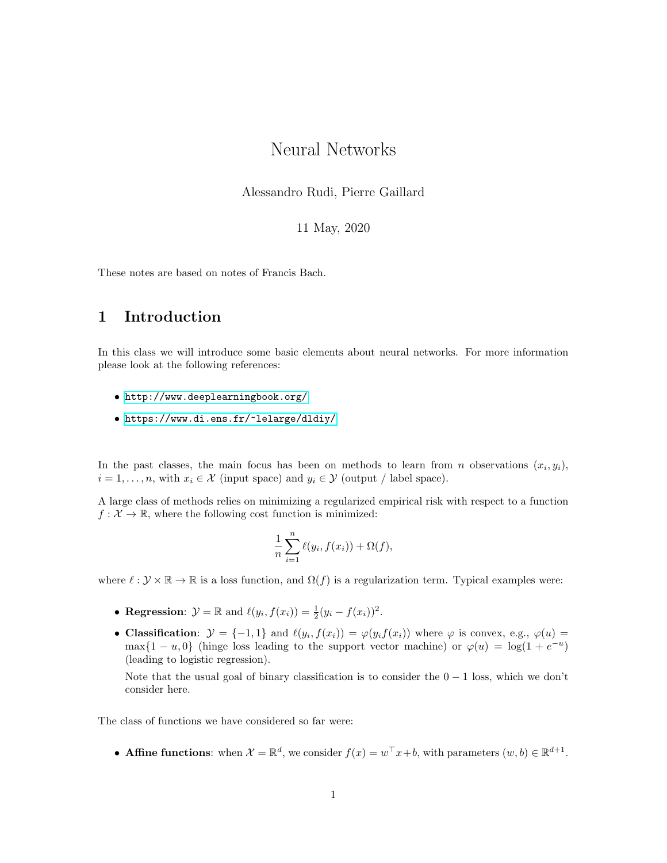# Neural Networks

Alessandro Rudi, Pierre Gaillard

11 May, 2020

These notes are based on notes of Francis Bach.

## 1 Introduction

In this class we will introduce some basic elements about neural networks. For more information please look at the following references:

- <http://www.deeplearningbook.org/>
- <https://www.di.ens.fr/~lelarge/dldiy/>

In the past classes, the main focus has been on methods to learn from n observations  $(x_i, y_i)$ ,  $i = 1, \ldots, n$ , with  $x_i \in \mathcal{X}$  (input space) and  $y_i \in \mathcal{Y}$  (output / label space).

A large class of methods relies on minimizing a regularized empirical risk with respect to a function  $f: \mathcal{X} \to \mathbb{R}$ , where the following cost function is minimized:

$$
\frac{1}{n}\sum_{i=1}^n \ell(y_i, f(x_i)) + \Omega(f),
$$

where  $\ell : \mathcal{Y} \times \mathbb{R} \to \mathbb{R}$  is a loss function, and  $\Omega(f)$  is a regularization term. Typical examples were:

- Regression:  $\mathcal{Y} = \mathbb{R}$  and  $\ell(y_i, f(x_i)) = \frac{1}{2}(y_i f(x_i))^2$ .
- Classification:  $\mathcal{Y} = \{-1, 1\}$  and  $\ell(y_i, f(x_i)) = \varphi(y_i f(x_i))$  where  $\varphi$  is convex, e.g.,  $\varphi(u) =$ max $\{1-u,0\}$  (hinge loss leading to the support vector machine) or  $\varphi(u) = \log(1 + e^{-u})$ (leading to logistic regression).

Note that the usual goal of binary classification is to consider the  $0 - 1$  loss, which we don't consider here.

The class of functions we have considered so far were:

• **Affine functions**: when  $\mathcal{X} = \mathbb{R}^d$ , we consider  $f(x) = w^\top x + b$ , with parameters  $(w, b) \in \mathbb{R}^{d+1}$ .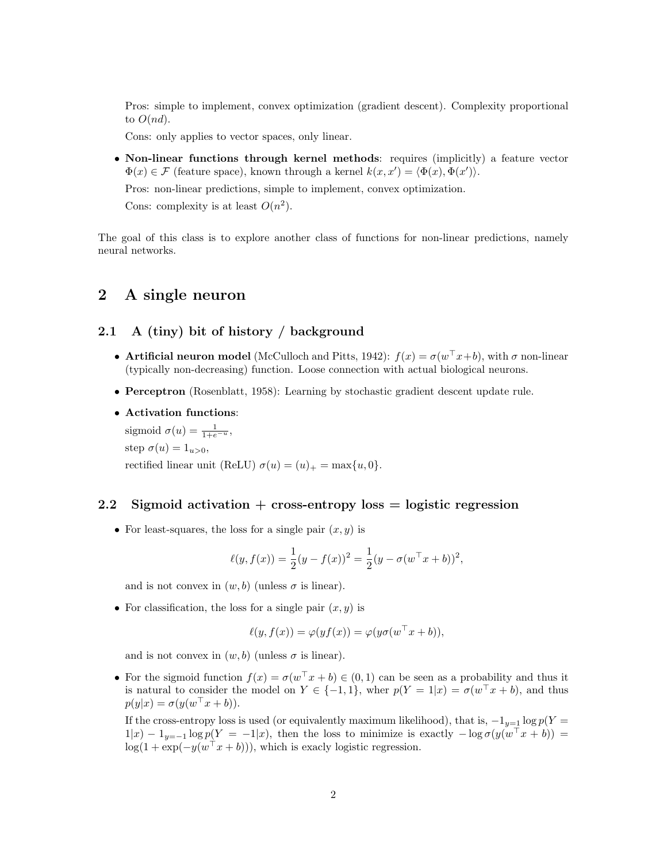Pros: simple to implement, convex optimization (gradient descent). Complexity proportional to  $O(nd)$ .

Cons: only applies to vector spaces, only linear.

• Non-linear functions through kernel methods: requires (implicitly) a feature vector  $\Phi(x) \in \mathcal{F}$  (feature space), known through a kernel  $k(x, x') = \langle \Phi(x), \Phi(x') \rangle$ .

Pros: non-linear predictions, simple to implement, convex optimization.

Cons: complexity is at least  $O(n^2)$ .

The goal of this class is to explore another class of functions for non-linear predictions, namely neural networks.

## 2 A single neuron

## 2.1 A (tiny) bit of history / background

- Artificial neuron model (McCulloch and Pitts, 1942):  $f(x) = \sigma(w^{\top}x+b)$ , with  $\sigma$  non-linear (typically non-decreasing) function. Loose connection with actual biological neurons.
- Perceptron (Rosenblatt, 1958): Learning by stochastic gradient descent update rule.
- Activation functions:

sigmoid  $\sigma(u) = \frac{1}{1 + e^{-u}},$ step  $\sigma(u) = 1_{u>0}$ , rectified linear unit (ReLU)  $\sigma(u) = (u)_+ = \max\{u, 0\}.$ 

#### 2.2 Sigmoid activation  $+$  cross-entropy loss  $=$  logistic regression

• For least-squares, the loss for a single pair  $(x, y)$  is

$$
\ell(y, f(x)) = \frac{1}{2}(y - f(x))^2 = \frac{1}{2}(y - \sigma(w^\top x + b))^2,
$$

and is not convex in  $(w, b)$  (unless  $\sigma$  is linear).

• For classification, the loss for a single pair  $(x, y)$  is

$$
\ell(y, f(x)) = \varphi(yf(x)) = \varphi(y\sigma(w^{\top}x + b)),
$$

and is not convex in  $(w, b)$  (unless  $\sigma$  is linear).

• For the sigmoid function  $f(x) = \sigma(w^{\top} x + b) \in (0,1)$  can be seen as a probability and thus it is natural to consider the model on  $Y \in \{-1,1\}$ , wher  $p(Y = 1|x) = \sigma(w^{\top}x + b)$ , and thus  $p(y|x) = \sigma(y(w^{\top}x + b)).$ 

If the cross-entropy loss is used (or equivalently maximum likelihood), that is,  $-1_{y=1} \log p(Y =$  $1|x) - 1_{y=-1} \log p(Y = -1|x)$ , then the loss to minimize is exactly  $-\log \sigma(y(w^{\top} x + b))$  $log(1 + exp(-y(w^{\top} x + b)))$ , which is exacly logistic regression.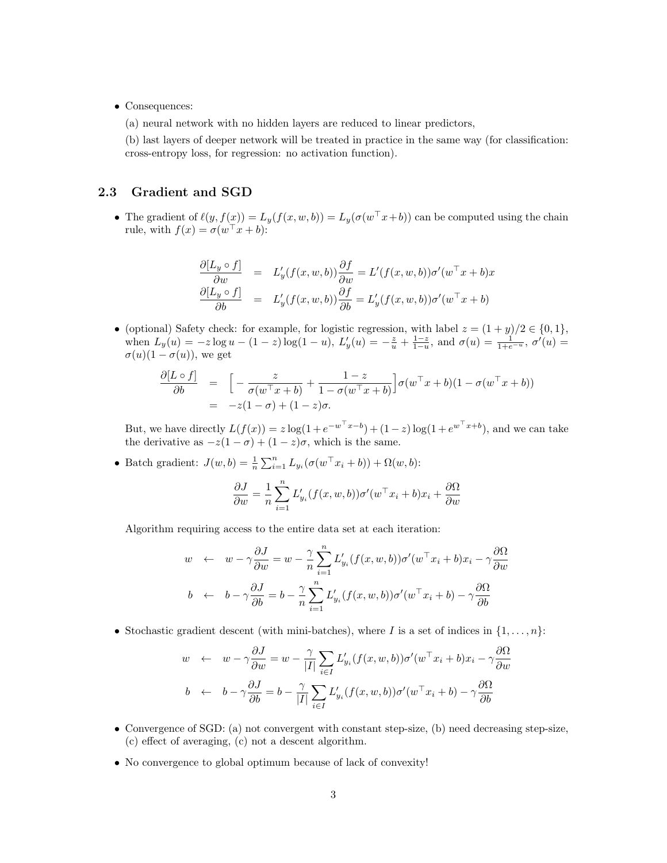• Consequences:

(a) neural network with no hidden layers are reduced to linear predictors,

(b) last layers of deeper network will be treated in practice in the same way (for classification: cross-entropy loss, for regression: no activation function).

## 2.3 Gradient and SGD

• The gradient of  $\ell(y, f(x)) = L_y(f(x, w, b)) = L_y(\sigma(w^\top x + b))$  can be computed using the chain rule, with  $f(x) = \sigma(w^{\top} x + b)$ :

$$
\frac{\partial [L_y \circ f]}{\partial w} = L'_y(f(x, w, b)) \frac{\partial f}{\partial w} = L'(f(x, w, b)) \sigma'(w^{\top} x + b)x
$$
  

$$
\frac{\partial [L_y \circ f]}{\partial b} = L'_y(f(x, w, b)) \frac{\partial f}{\partial b} = L'_y(f(x, w, b)) \sigma'(w^{\top} x + b)
$$

• (optional) Safety check: for example, for logistic regression, with label  $z = (1 + y)/2 \in \{0, 1\}$ , when  $L_y(u) = -z \log u - (1-z) \log(1-u)$ ,  $L'_y(u) = -\frac{z}{u} + \frac{1-z}{1-u}$ , and  $\sigma(u) = \frac{1}{1+e^{-u}}$ ,  $\sigma'(u) =$  $\sigma(u)(1-\sigma(u))$ , we get

$$
\frac{\partial [L \circ f]}{\partial b} = \left[ -\frac{z}{\sigma(w^\top x + b)} + \frac{1 - z}{1 - \sigma(w^\top x + b)} \right] \sigma(w^\top x + b)(1 - \sigma(w^\top x + b))
$$
  
= -z(1 - \sigma) + (1 - z)\sigma.

But, we have directly  $L(f(x)) = z \log(1 + e^{-w^{\top}x - b}) + (1 - z) \log(1 + e^{w^{\top}x + b})$ , and we can take the derivative as  $-z(1-\sigma) + (1-z)\sigma$ , which is the same.

• Batch gradient:  $J(w, b) = \frac{1}{n} \sum_{i=1}^{n} L_{y_i} (\sigma(w^\top x_i + b)) + \Omega(w, b)$ :

$$
\frac{\partial J}{\partial w} = \frac{1}{n} \sum_{i=1}^{n} L'_{y_i}(f(x, w, b)) \sigma'(w^{\top} x_i + b) x_i + \frac{\partial \Omega}{\partial w}
$$

Algorithm requiring access to the entire data set at each iteration:

$$
w \leftarrow w - \gamma \frac{\partial J}{\partial w} = w - \frac{\gamma}{n} \sum_{i=1}^{n} L'_{y_i}(f(x, w, b)) \sigma'(w^{\top} x_i + b) x_i - \gamma \frac{\partial \Omega}{\partial w}
$$
  

$$
b \leftarrow b - \gamma \frac{\partial J}{\partial b} = b - \frac{\gamma}{n} \sum_{i=1}^{n} L'_{y_i}(f(x, w, b)) \sigma'(w^{\top} x_i + b) - \gamma \frac{\partial \Omega}{\partial b}
$$

• Stochastic gradient descent (with mini-batches), where I is a set of indices in  $\{1, \ldots, n\}$ :

$$
w \leftarrow w - \gamma \frac{\partial J}{\partial w} = w - \frac{\gamma}{|I|} \sum_{i \in I} L'_{y_i}(f(x, w, b)) \sigma'(w^{\top} x_i + b) x_i - \gamma \frac{\partial \Omega}{\partial w}
$$

$$
b \leftarrow b - \gamma \frac{\partial J}{\partial b} = b - \frac{\gamma}{|I|} \sum_{i \in I} L'_{y_i}(f(x, w, b)) \sigma'(w^{\top} x_i + b) - \gamma \frac{\partial \Omega}{\partial b}
$$

- Convergence of SGD: (a) not convergent with constant step-size, (b) need decreasing step-size, (c) effect of averaging, (c) not a descent algorithm.
- No convergence to global optimum because of lack of convexity!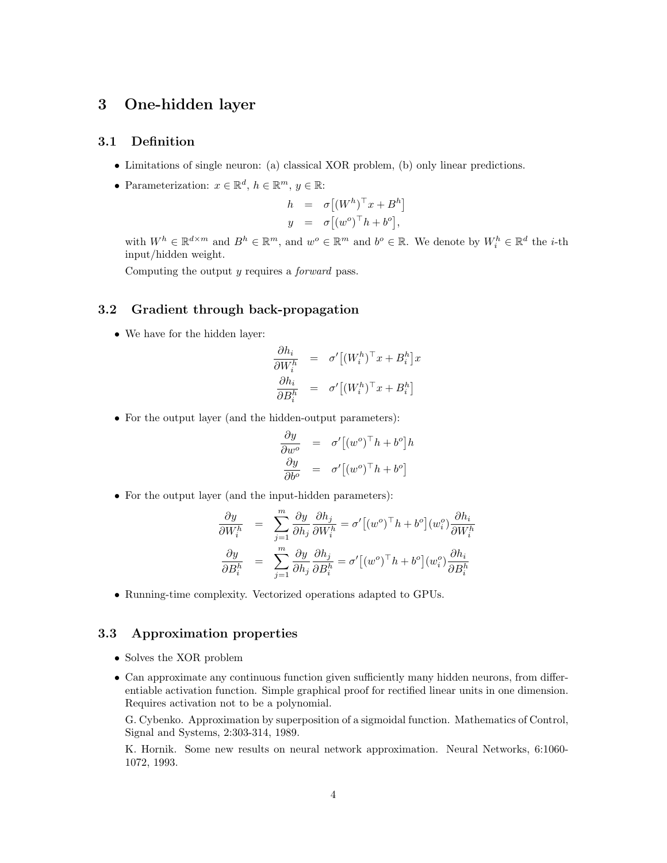## 3 One-hidden layer

### 3.1 Definition

- Limitations of single neuron: (a) classical XOR problem, (b) only linear predictions.
- Parameterization:  $x \in \mathbb{R}^d$ ,  $h \in \mathbb{R}^m$ ,  $y \in \mathbb{R}$ :

$$
h = \sigma [(W^h)^\top x + B^h]
$$
  

$$
y = \sigma [(w^o)^\top h + b^o],
$$

with  $W^h \in \mathbb{R}^{d \times m}$  and  $B^h \in \mathbb{R}^m$ , and  $w^o \in \mathbb{R}^m$  and  $b^o \in \mathbb{R}$ . We denote by  $W_i^h \in \mathbb{R}^d$  the *i*-th input/hidden weight.

Computing the output y requires a forward pass.

#### 3.2 Gradient through back-propagation

• We have for the hidden layer:

$$
\frac{\partial h_i}{\partial W_i^h} = \sigma' \left[ (W_i^h)^\top x + B_i^h \right] x
$$

$$
\frac{\partial h_i}{\partial B_i^h} = \sigma' \left[ (W_i^h)^\top x + B_i^h \right]
$$

• For the output layer (and the hidden-output parameters):

$$
\frac{\partial y}{\partial w^o} = \sigma' \left[ (w^o)^\top h + b^o \right] h
$$

$$
\frac{\partial y}{\partial b^o} = \sigma' \left[ (w^o)^\top h + b^o \right]
$$

• For the output layer (and the input-hidden parameters):

$$
\begin{array}{rcl} \displaystyle \frac{\partial y}{\partial W_i^h} &=& \displaystyle \sum_{j=1}^m \frac{\partial y}{\partial h_j} \frac{\partial h_j}{\partial W_i^h} = \sigma' \big[ (w^o)^\top h + b^o \big] (w_i^o) \frac{\partial h_i}{\partial W_i^h} \\[2mm] \displaystyle \frac{\partial y}{\partial B_i^h} &=& \displaystyle \sum_{j=1}^m \frac{\partial y}{\partial h_j} \frac{\partial h_j}{\partial B_i^h} = \sigma' \big[ (w^o)^\top h + b^o \big] (w_i^o) \frac{\partial h_i}{\partial B_i^h} \end{array}
$$

• Running-time complexity. Vectorized operations adapted to GPUs.

### 3.3 Approximation properties

- Solves the XOR problem
- Can approximate any continuous function given sufficiently many hidden neurons, from differentiable activation function. Simple graphical proof for rectified linear units in one dimension. Requires activation not to be a polynomial.

G. Cybenko. Approximation by superposition of a sigmoidal function. Mathematics of Control, Signal and Systems, 2:303-314, 1989.

K. Hornik. Some new results on neural network approximation. Neural Networks, 6:1060- 1072, 1993.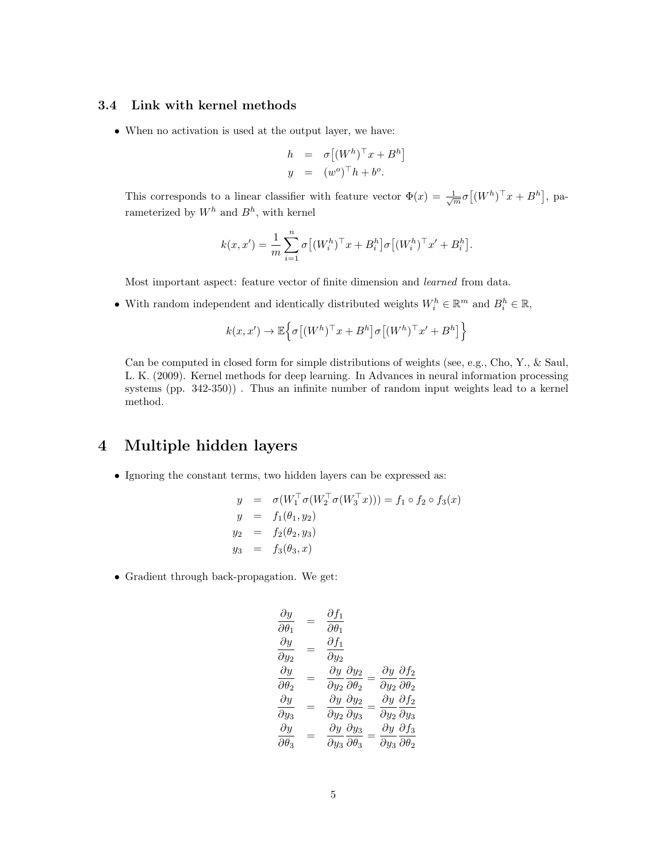### 3.4 Link with kernel methods

• When no activation is used at the output layer, we have:

$$
h = \sigma [(W^h)^\top x + B^h]
$$
  

$$
y = (w^o)^\top h + b^o.
$$

This corresponds to a linear classifier with feature vector  $\Phi(x) = \frac{1}{\sqrt{m}} \sigma((W^h)^{\top} x + B^h)$ , parameterized by  $W^h$  and  $B^h$ , with kernel

$$
k(x, x') = \frac{1}{m} \sum_{i=1}^{n} \sigma \left[ (W_i^h)^\top x + B_i^h \right] \sigma \left[ (W_i^h)^\top x' + B_i^h \right].
$$

Most important aspect: feature vector of finite dimension and learned from data.

• With random independent and identically distributed weights  $W_i^h \in \mathbb{R}^m$  and  $B_i^h \in \mathbb{R}$ ,

$$
k(x, x') \to \mathbb{E}\left\{\sigma\left[(W^h)^\top x + B^h\right]\sigma\left[(W^h)^\top x' + B^h\right]\right\}
$$

Can be computed in closed form for simple distributions of weights (see, e.g., Cho, Y., & Saul, L. K. (2009). Kernel methods for deep learning. In Advances in neural information processing systems (pp. 342-350)) . Thus an infinite number of random input weights lead to a kernel method.

# 4 Multiple hidden layers

• Ignoring the constant terms, two hidden layers can be expressed as:

$$
y = \sigma(W_1^{\top} \sigma(W_2^{\top} \sigma(W_3^{\top} x))) = f_1 \circ f_2 \circ f_3(x)
$$
  
\n
$$
y = f_1(\theta_1, y_2)
$$
  
\n
$$
y_2 = f_2(\theta_2, y_3)
$$
  
\n
$$
y_3 = f_3(\theta_3, x)
$$

• Gradient through back-propagation. We get:

$$
\begin{array}{rcl}\n\frac{\partial y}{\partial \theta_1} & = & \frac{\partial f_1}{\partial \theta_1} \\
\frac{\partial y}{\partial y_2} & = & \frac{\partial f_1}{\partial y_2} \\
\frac{\partial y}{\partial \theta_2} & = & \frac{\partial y}{\partial y_2} \frac{\partial y_2}{\partial \theta_2} = \frac{\partial y}{\partial y_2} \frac{\partial f_2}{\partial \theta_2} \\
\frac{\partial y}{\partial y_3} & = & \frac{\partial y}{\partial y_2} \frac{\partial y_2}{\partial y_3} = \frac{\partial y}{\partial y_2} \frac{\partial f_2}{\partial y_3} \\
\frac{\partial y}{\partial \theta_3} & = & \frac{\partial y}{\partial y_3} \frac{\partial y_3}{\partial \theta_3} = \frac{\partial y}{\partial y_3} \frac{\partial f_3}{\partial \theta_2}\n\end{array}
$$